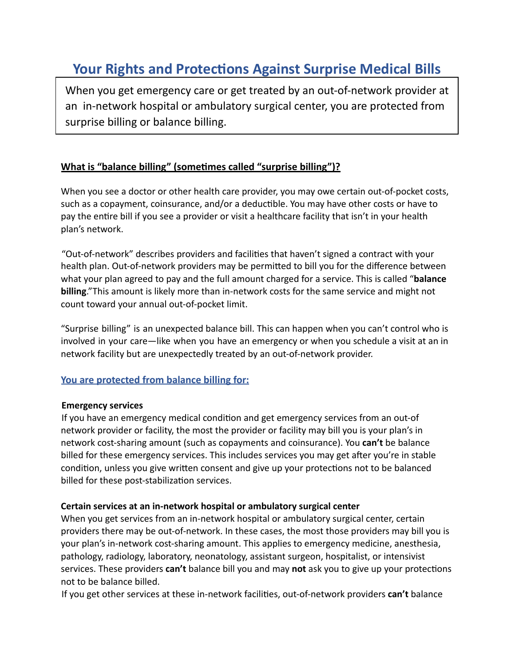# **Your Rights and Protections Against Surprise Medical Bills**

When you get emergency care or get treated by an out-of-network provider at an in-network hospital or ambulatory surgical center, you are protected from surprise billing or balance billing.

#### **What is "balance billing" (sometimes called "surprise billing")?**

When you see a doctor or other health care provider, you may owe certain out-of-pocket costs, such as a copayment, coinsurance, and/or a deductible. You may have other costs or have to pay the entire bill if you see a provider or visit a healthcare facility that isn't in your health plan's network.

"Out-of-network" describes providers and facilities that haven't signed a contract with your health plan. Out-of-network providers may be permitted to bill you for the difference between what your plan agreed to pay and the full amount charged for a service. This is called "**balance billing**."This amount is likely more than in-network costs for the same service and might not count toward your annual out-of-pocket limit.

"Surprise billing" is an unexpected balance bill. This can happen when you can't control who is involved in your care—like when you have an emergency or when you schedule a visit at an in network facility but are unexpectedly treated by an out-of-network provider.

#### **You are protected from balance billing for:**

#### **Emergency services**

If you have an emergency medical condition and get emergency services from an out-of network provider or facility, the most the provider or facility may bill you is your plan's in network cost-sharing amount (such as copayments and coinsurance). You **can't** be balance billed for these emergency services. This includes services you may get after you're in stable condition, unless you give written consent and give up your protections not to be balanced billed for these post-stabilization services.

#### **Certain services at an in-network hospital or ambulatory surgical center**

When you get services from an in-network hospital or ambulatory surgical center, certain providers there may be out-of-network. In these cases, the most those providers may bill you is your plan's in-network cost-sharing amount. This applies to emergency medicine, anesthesia, pathology, radiology, laboratory, neonatology, assistant surgeon, hospitalist, or intensivist services. These providers can't balance bill you and may not ask you to give up your protections not to be balance billed.

If you get other services at these in-network facilies, out-of-network providers **can't** balance